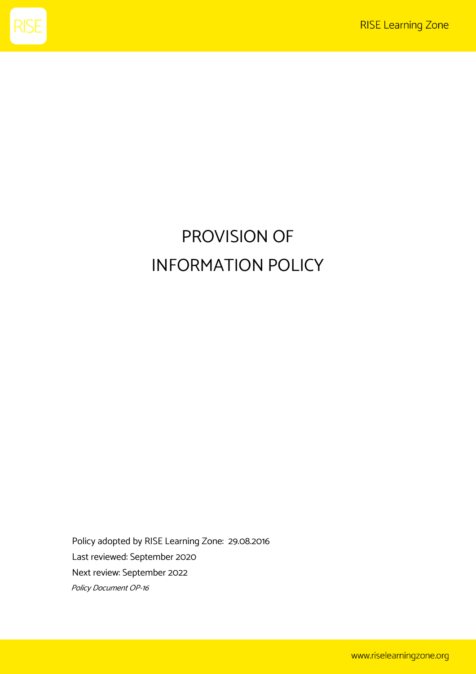

## PROVISION OF INFORMATION POLICY

Policy adopted by RISE Learning Zone: 29.08.2016 Last reviewed: September 2020 Next review: September 2022 Policy Document OP-16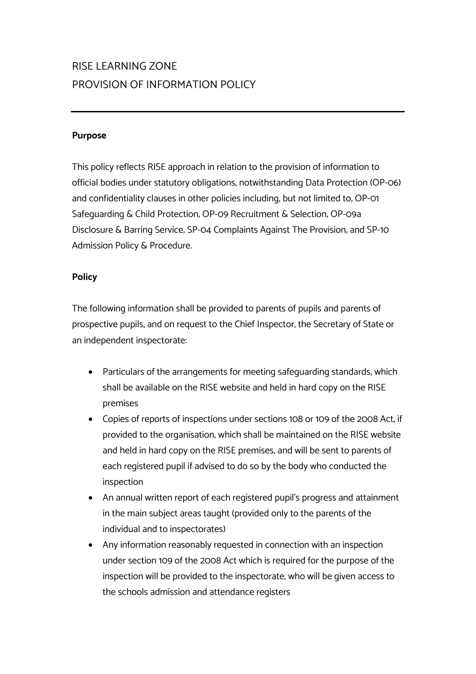## RISE LEARNING ZONE PROVISION OF INFORMATION POLICY

## **Purpose**

This policy reflects RISE approach in relation to the provision of information to official bodies under statutory obligations, notwithstanding Data Protection (OP-06) and confidentiality clauses in other policies including, but not limited to, OP-01 Safeguarding & Child Protection; OP-09 Recruitment & Selection; OP-09a Disclosure & Barring Service; SP-04 Complaints Against The Provision; and SP-10 Admission Policy & Procedure.

## **Policy**

The following information shall be provided to parents of pupils and parents of prospective pupils, and on request to the Chief Inspector, the Secretary of State or an independent inspectorate:

- Particulars of the arrangements for meeting safeguarding standards, which shall be available on the RISE website and held in hard copy on the RISE premises
- Copies of reports of inspections under sections 108 or 109 of the 2008 Act, if provided to the organisation, which shall be maintained on the RISE website and held in hard copy on the RISE premises; and will be sent to parents of each registered pupil if advised to do so by the body who conducted the inspection
- An annual written report of each registered pupil's progress and attainment in the main subject areas taught (provided only to the parents of the individual and to inspectorates)
- Any information reasonably requested in connection with an inspection under section 109 of the 2008 Act which is required for the purpose of the inspection will be provided to the inspectorate, who will be given access to the schools admission and attendance registers